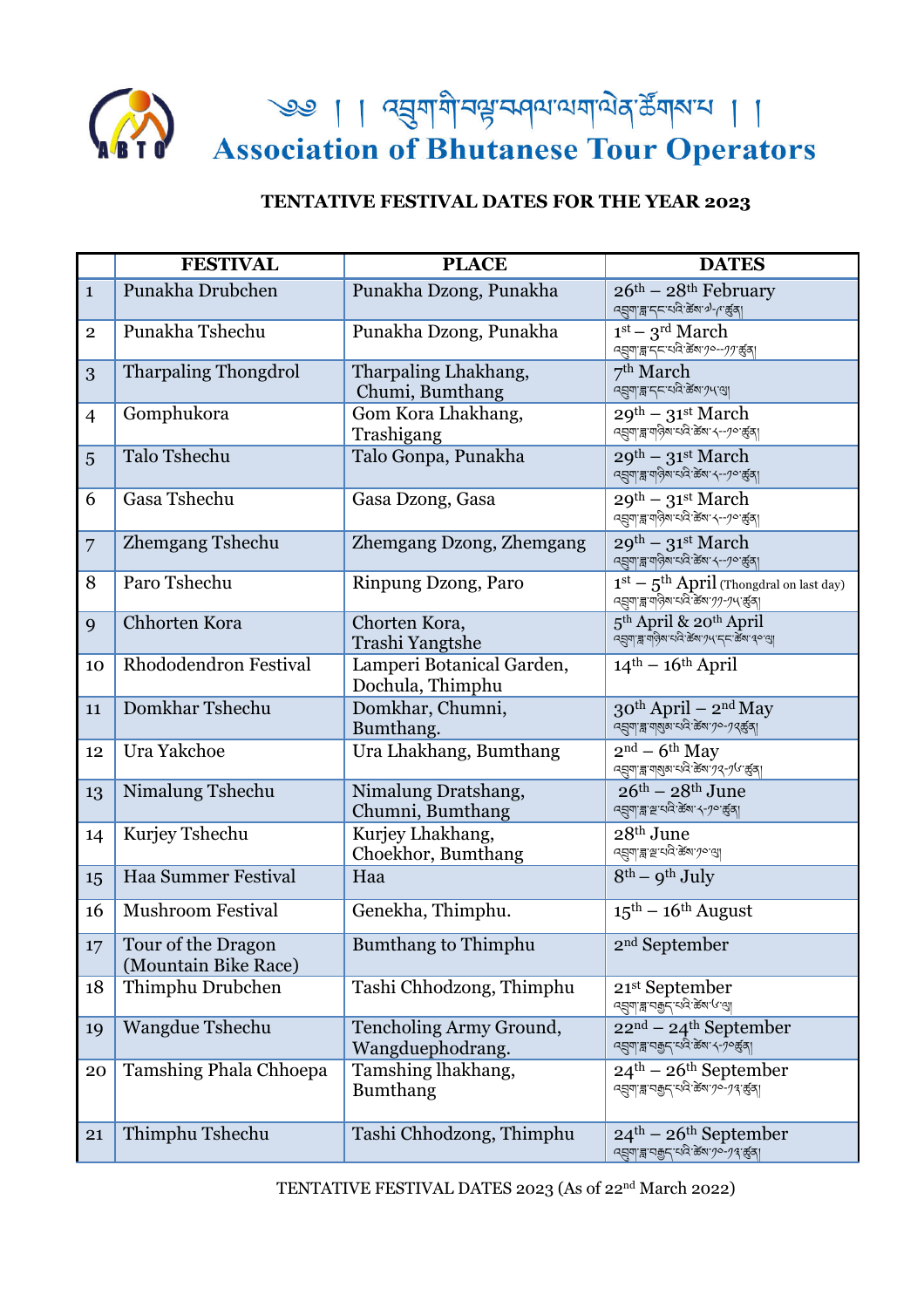

<u>२७ | ।</u> व्युणगैन्यू अपयायायेव र्ढेंगरम्य । ।<br>Association of Bhutanese Tour Operators

## **TENTATIVE FESTIVAL DATES FOR THE YEAR 2023**

|                  | <b>FESTIVAL</b>                            | <b>PLACE</b>                                  | <b>DATES</b>                                                                                                                                                                                                                                                                                                                                                                                                                 |
|------------------|--------------------------------------------|-----------------------------------------------|------------------------------------------------------------------------------------------------------------------------------------------------------------------------------------------------------------------------------------------------------------------------------------------------------------------------------------------------------------------------------------------------------------------------------|
| $\mathbf{1}$     | Punakha Drubchen                           | Punakha Dzong, Punakha                        | $26th - 28th$ February<br>द्युग  ब्लाइन्द्रायदे केला ग्रे-( कुर्व)                                                                                                                                                                                                                                                                                                                                                           |
| $\overline{2}$   | Punakha Tshechu                            | Punakha Dzong, Punakha                        | $1st - 3rd March$<br>Rลุย - 25 - 2021 3 2011                                                                                                                                                                                                                                                                                                                                                                                 |
| 3                | <b>Tharpaling Thongdrol</b>                | Tharpaling Lhakhang,<br>Chumi, Bumthang       | 7 <sup>th</sup> March<br>.<br>वह्युबाह्य द्रूपदे के बाग पर बा                                                                                                                                                                                                                                                                                                                                                                |
| $\overline{4}$   | Gomphukora                                 | Gom Kora Lhakhang,<br>Trashigang              | $29^{th}$ – $31^{st}$ March<br>$\frac{1}{2}$ अनुबार वाले विकार (-- $\frac{1}{2}$ कुला                                                                                                                                                                                                                                                                                                                                        |
| 5                | <b>Talo Tshechu</b>                        | Talo Gonpa, Punakha                           | $29^{th} - 31^{st}$ March<br>द्भगा ह्य पात्रे बाद्य के बाद-10 कुर्वा                                                                                                                                                                                                                                                                                                                                                         |
| 6                | Gasa Tshechu                               | Gasa Dzong, Gasa                              | $\sqrt{29^{th} - 31^{st} \text{ March}}$<br>द्भगा ह्वा या क्षेत्रा चारे केश १--१० कुरु                                                                                                                                                                                                                                                                                                                                       |
| $\overline{7}$   | <b>Zhemgang Tshechu</b>                    | Zhemgang Dzong, Zhemgang                      | $29^{th}$ – $31^{st}$ March<br>- २<br>द्युग ङ्खाय देश:यदे:ळेंबा: ५--१०:ळुंब्।                                                                                                                                                                                                                                                                                                                                                |
| 8                | Paro Tshechu                               | Rinpung Dzong, Paro                           | $1st - 5th$ April (Thongdral on last day)<br>$R = \frac{1}{2}$ अपने स्थान के स्वाप्त करने                                                                                                                                                                                                                                                                                                                                    |
| 9                | Chhorten Kora                              | Chorten Kora,<br>Trashi Yangtshe              | $\overline{5^{\text{th}}\,\mathrm{April}} \ \&\ \text{20}^{\text{th}}\,\mathrm{April}} \ \substack{\text{45}^{\text{th}}\,\mathrm{[J]}\ \text{45}^{\text{th}}\ \text{46}^{\text{th}}\ \text{48}^{\text{th}}\ \text{49}^{\text{th}}\ \text{49}^{\text{th}}\ \text{49}^{\text{th}}\ \text{49}^{\text{th}}\ \text{49}^{\text{th}}\ \text{40}^{\text{th}}\ \text{41}^{\text{th}}\ \text{42}^{\text{th}}\ \text{46}^{\text{th}}\$ |
| 10               | Rhododendron Festival                      | Lamperi Botanical Garden,<br>Dochula, Thimphu | $14th - 16th$ April                                                                                                                                                                                                                                                                                                                                                                                                          |
| 11               | Domkhar Tshechu                            | Domkhar, Chumni,<br>Bumthang.                 | $30^{th}$ April – $2^{nd}$ May<br>द्भया ह्व'याराज्य' पदि ऊँवा 70-72 कुर्वा                                                                                                                                                                                                                                                                                                                                                   |
| 12               | Ura Yakchoe                                | Ura Lhakhang, Bumthang                        | $\overline{2^{nd}}$ – 6 <sup>th</sup> May<br>द्भुषाञ्ज'बाषुबाद्यदे केषां 72-76 कुरु                                                                                                                                                                                                                                                                                                                                          |
| 13               | Nimalung Tshechu                           | Nimalung Dratshang,<br>Chumni, Bumthang       | $26th - 28th$ June<br>ঀয়৽য়৾ৼৼ <sup>ড়</sup> ঢ়ড়ড়য়ৼ৻ৼঀ৻ড়৻য়                                                                                                                                                                                                                                                                                                                                                             |
| 14               | Kurjey Tshechu                             | Kurjey Lhakhang,<br>Choekhor, Bumthang        | 28 <sup>th</sup> June<br><i>ন্</i> ম্ৰ্যাব্ল'শ্ৰ'থব'ৰ্ক্তম' <i>য়</i> াণ্ড্ৰা                                                                                                                                                                                                                                                                                                                                                |
| 15               | Haa Summer Festival                        | Haa                                           | $8^{th}$ – $9^{th}$ July                                                                                                                                                                                                                                                                                                                                                                                                     |
| 16               | Mushroom Festival                          | Genekha, Thimphu.                             | $15^{\text{th}} - 16^{\text{th}}$ August                                                                                                                                                                                                                                                                                                                                                                                     |
| 17 <sup>17</sup> | Tour of the Dragon<br>(Mountain Bike Race) | <b>Bumthang to Thimphu</b>                    | 2 <sup>nd</sup> September                                                                                                                                                                                                                                                                                                                                                                                                    |
| 18               | Thimphu Drubchen                           | Tashi Chhodzong, Thimphu                      | 21 <sup>st</sup> September<br>द्युग ब्ला चकुन् यदि केशा (अ                                                                                                                                                                                                                                                                                                                                                                   |
| 19               | Wangdue Tshechu                            | Tencholing Army Ground,<br>Wangduephodrang.   | $22nd - 24th September$<br>द्भगाह्य पक्कुन् पादे केंबा <i>५-१</i> ०कुंब्।                                                                                                                                                                                                                                                                                                                                                    |
| 20               | Tamshing Phala Chhoepa                     | Tamshing lhakhang,<br><b>Bumthang</b>         | $24^{\text{th}} - 26^{\text{th}}$ September<br>द्मणाह्न पकुर पदि केषा <i>१०-१९</i> कुर्बा                                                                                                                                                                                                                                                                                                                                    |
| 21               | Thimphu Tshechu                            | Tashi Chhodzong, Thimphu                      | $24^{\text{th}} - 26^{\text{th}}$ September                                                                                                                                                                                                                                                                                                                                                                                  |

TENTATIVE FESTIVAL DATES 2023 (As of 22nd March 2022)